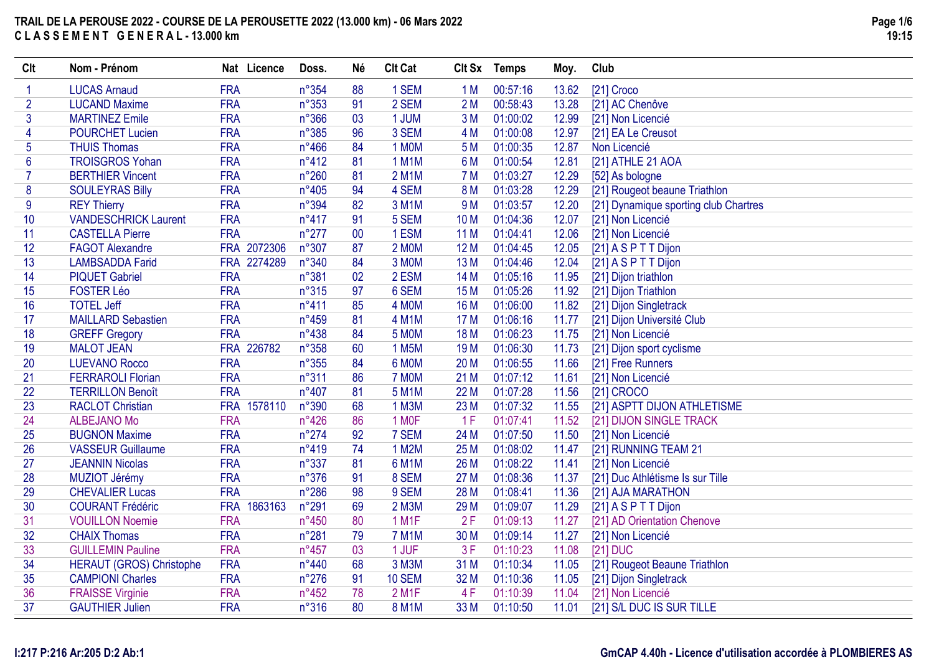| Clt            | Nom - Prénom                    | Nat Licence | Doss.          | Né | <b>Clt Cat</b>     | Clt Sx          | <b>Temps</b> | Moy.  | Club                                  |
|----------------|---------------------------------|-------------|----------------|----|--------------------|-----------------|--------------|-------|---------------------------------------|
|                | <b>LUCAS Arnaud</b>             | <b>FRA</b>  | n°354          | 88 | 1 SEM              | 1 <sub>M</sub>  | 00:57:16     | 13.62 | [21] Croco                            |
| $\overline{2}$ | <b>LUCAND Maxime</b>            | <b>FRA</b>  | $n^{\circ}353$ | 91 | 2 SEM              | 2M              | 00:58:43     | 13.28 | [21] AC Chenôve                       |
| 3              | <b>MARTINEZ Emile</b>           | <b>FRA</b>  | $n^{\circ}366$ | 03 | 1 JUM              | 3M              | 01:00:02     | 12.99 | [21] Non Licencié                     |
| 4              | <b>POURCHET Lucien</b>          | <b>FRA</b>  | $n^{\circ}385$ | 96 | 3 SEM              | 4 M             | 01:00:08     | 12.97 | [21] EA Le Creusot                    |
| 5              | <b>THUIS Thomas</b>             | <b>FRA</b>  | $n^{\circ}466$ | 84 | 1 MOM              | 5 M             | 01:00:35     | 12.87 | Non Licencié                          |
| 6              | <b>TROISGROS Yohan</b>          | <b>FRA</b>  | $n^{\circ}412$ | 81 | <b>1 M1M</b>       | 6 M             | 01:00:54     | 12.81 | [21] ATHLE 21 AOA                     |
| 7              | <b>BERTHIER Vincent</b>         | <b>FRA</b>  | $n^{\circ}260$ | 81 | 2 M1M              | 7 M             | 01:03:27     | 12.29 | [52] As bologne                       |
| 8              | <b>SOULEYRAS Billy</b>          | <b>FRA</b>  | $n^{\circ}405$ | 94 | 4 SEM              | 8 M             | 01:03:28     | 12.29 | [21] Rougeot beaune Triathlon         |
| 9              | <b>REY Thierry</b>              | <b>FRA</b>  | n°394          | 82 | 3 M1M              | 9 M             | 01:03:57     | 12.20 | [21] Dynamique sporting club Chartres |
| 10             | <b>VANDESCHRICK Laurent</b>     | <b>FRA</b>  | $n^{\circ}417$ | 91 | 5 SEM              | 10 <sub>M</sub> | 01:04:36     | 12.07 | [21] Non Licencié                     |
| 11             | <b>CASTELLA Pierre</b>          | <b>FRA</b>  | $n^{\circ}277$ | 00 | 1 ESM              | 11 M            | 01:04:41     | 12.06 | [21] Non Licencié                     |
| 12             | <b>FAGOT Alexandre</b>          | FRA 2072306 | n°307          | 87 | 2 MOM              | 12 M            | 01:04:45     | 12.05 | [21] A S P T T Dijon                  |
| 13             | <b>LAMBSADDA Farid</b>          | FRA 2274289 | n°340          | 84 | 3 MOM              | 13 M            | 01:04:46     | 12.04 | [21] A S P T T Dijon                  |
| 14             | <b>PIQUET Gabriel</b>           | <b>FRA</b>  | n°381          | 02 | 2 ESM              | 14 M            | 01:05:16     | 11.95 | [21] Dijon triathlon                  |
| 15             | <b>FOSTER Léo</b>               | <b>FRA</b>  | n°315          | 97 | 6 SEM              | 15 M            | 01:05:26     | 11.92 | [21] Dijon Triathlon                  |
| 16             | <b>TOTEL Jeff</b>               | <b>FRA</b>  | $n^{\circ}411$ | 85 | 4 MOM              | 16 M            | 01:06:00     | 11.82 | [21] Dijon Singletrack                |
| 17             | <b>MAILLARD Sebastien</b>       | <b>FRA</b>  | $n^{\circ}459$ | 81 | <b>4 M1M</b>       | 17 M            | 01:06:16     | 11.77 | [21] Dijon Université Club            |
| 18             | <b>GREFF Gregory</b>            | <b>FRA</b>  | $n^{\circ}438$ | 84 | <b>5 MOM</b>       | <b>18 M</b>     | 01:06:23     | 11.75 | [21] Non Licencié                     |
| 19             | <b>MALOT JEAN</b>               | FRA 226782  | n°358          | 60 | 1 M <sub>5</sub> M | 19 <sub>M</sub> | 01:06:30     | 11.73 | [21] Dijon sport cyclisme             |
| 20             | <b>LUEVANO Rocco</b>            | <b>FRA</b>  | $n^{\circ}355$ | 84 | 6 MOM              | 20 M            | 01:06:55     | 11.66 | [21] Free Runners                     |
| 21             | <b>FERRAROLI Florian</b>        | <b>FRA</b>  | n°311          | 86 | 7 MOM              | 21 M            | 01:07:12     | 11.61 | [21] Non Licencié                     |
| 22             | <b>TERRILLON Benoît</b>         | <b>FRA</b>  | $n^{\circ}407$ | 81 | <b>5 M1M</b>       | 22 M            | 01:07:28     | 11.56 | [21] CROCO                            |
| 23             | <b>RACLOT Christian</b>         | FRA 1578110 | n°390          | 68 | 1 M3M              | 23 M            | 01:07:32     | 11.55 | [21] ASPTT DIJON ATHLETISME           |
| 24             | <b>ALBEJANO Mo</b>              | <b>FRA</b>  | n°426          | 86 | 1 MOF              | 1F              | 01:07:41     | 11.52 | [21] DIJON SINGLE TRACK               |
| 25             | <b>BUGNON Maxime</b>            | <b>FRA</b>  | $n^{\circ}274$ | 92 | 7 SEM              | 24 M            | 01:07:50     | 11.50 | [21] Non Licencié                     |
| 26             | <b>VASSEUR Guillaume</b>        | <b>FRA</b>  | n°419          | 74 | 1 M2M              | 25 M            | 01:08:02     | 11.47 | [21] RUNNING TEAM 21                  |
| 27             | <b>JEANNIN Nicolas</b>          | <b>FRA</b>  | n°337          | 81 | <b>6 M1M</b>       | 26 M            | 01:08:22     | 11.41 | [21] Non Licencié                     |
| 28             | MUZIOT Jérémy                   | <b>FRA</b>  | n°376          | 91 | 8 SEM              | 27 M            | 01:08:36     | 11.37 | [21] Duc Athlétisme Is sur Tille      |
| 29             | <b>CHEVALIER Lucas</b>          | <b>FRA</b>  | $n^{\circ}286$ | 98 | 9 SEM              | 28 M            | 01:08:41     | 11.36 | [21] AJA MARATHON                     |
| 30             | <b>COURANT Frédéric</b>         | FRA 1863163 | n°291          | 69 | 2 M3M              | 29 M            | 01:09:07     | 11.29 | [21] A S P T T Dijon                  |
| 31             | <b>VOUILLON Noemie</b>          | <b>FRA</b>  | $n^{\circ}450$ | 80 | 1 M1F              | 2F              | 01:09:13     | 11.27 | [21] AD Orientation Chenove           |
| 32             | <b>CHAIX Thomas</b>             | <b>FRA</b>  | n°281          | 79 | <b>7 M1M</b>       | 30 M            | 01:09:14     | 11.27 | [21] Non Licencié                     |
| 33             | <b>GUILLEMIN Pauline</b>        | <b>FRA</b>  | $n^{\circ}457$ | 03 | 1 JUF              | 3F              | 01:10:23     | 11.08 | [21] DUC                              |
| 34             | <b>HERAUT (GROS) Christophe</b> | <b>FRA</b>  | n°440          | 68 | 3 M3M              | 31 M            | 01:10:34     | 11.05 | [21] Rougeot Beaune Triathlon         |
| 35             | <b>CAMPIONI Charles</b>         | <b>FRA</b>  | $n^{\circ}276$ | 91 | <b>10 SEM</b>      | 32 M            | 01:10:36     | 11.05 | [21] Dijon Singletrack                |
| 36             | <b>FRAISSE Virginie</b>         | <b>FRA</b>  | $n^{\circ}452$ | 78 | 2 M <sub>1</sub> F | 4F              | 01:10:39     | 11.04 | [21] Non Licencié                     |
| 37             | <b>GAUTHIER Julien</b>          | <b>FRA</b>  | n°316          | 80 | <b>8 M1M</b>       | 33 M            | 01:10:50     | 11.01 | [21] S/L DUC IS SUR TILLE             |

#### **I:217 P:216 Ar:205 D:2 Ab:1**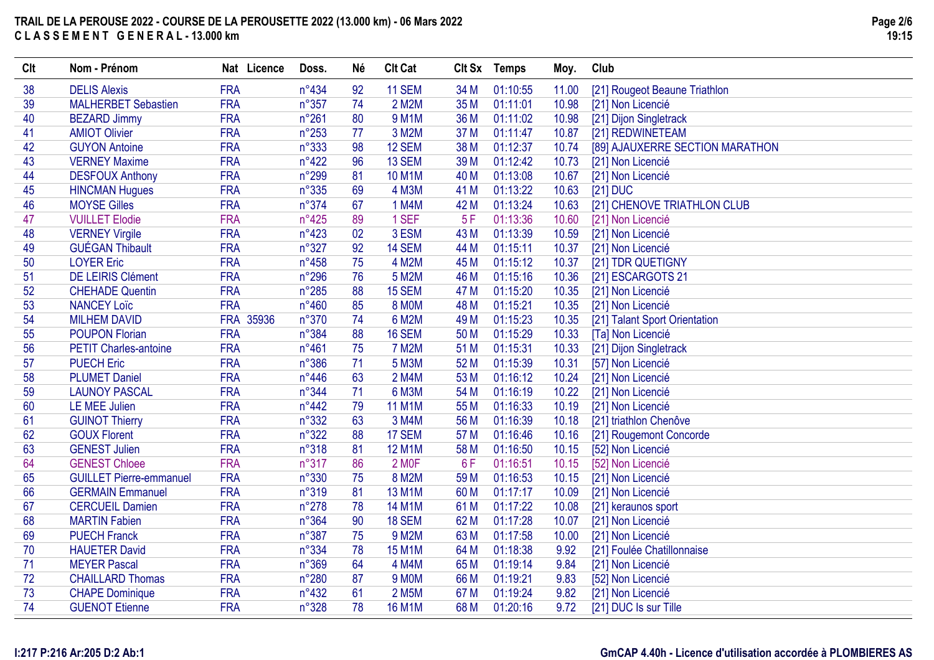| Clt | Nom - Prénom                   | Nat Licence | Doss.          | <b>Né</b> | <b>Clt Cat</b>     |      | Clt Sx Temps | Moy.  | Club                            |
|-----|--------------------------------|-------------|----------------|-----------|--------------------|------|--------------|-------|---------------------------------|
| 38  | <b>DELIS Alexis</b>            | <b>FRA</b>  | $n^{\circ}434$ | 92        | <b>11 SEM</b>      | 34 M | 01:10:55     | 11.00 | [21] Rougeot Beaune Triathlon   |
| 39  | <b>MALHERBET Sebastien</b>     | <b>FRA</b>  | $n^{\circ}357$ | 74        | 2 M2M              | 35 M | 01:11:01     | 10.98 | [21] Non Licencié               |
| 40  | <b>BEZARD Jimmy</b>            | <b>FRA</b>  | $n^{\circ}261$ | 80        | <b>9 M1M</b>       | 36 M | 01:11:02     | 10.98 | [21] Dijon Singletrack          |
| 41  | <b>AMIOT Olivier</b>           | <b>FRA</b>  | $n^{\circ}253$ | 77        | 3 M2M              | 37 M | 01:11:47     | 10.87 | [21] REDWINETEAM                |
| 42  | <b>GUYON Antoine</b>           | <b>FRA</b>  | n°333          | 98        | 12 SEM             | 38 M | 01:12:37     | 10.74 | [89] AJAUXERRE SECTION MARATHON |
| 43  | <b>VERNEY Maxime</b>           | <b>FRA</b>  | $n^{\circ}422$ | 96        | 13 SEM             | 39 M | 01:12:42     | 10.73 | [21] Non Licencié               |
| 44  | <b>DESFOUX Anthony</b>         | <b>FRA</b>  | n°299          | 81        | <b>10 M1M</b>      | 40 M | 01:13:08     | 10.67 | [21] Non Licencié               |
| 45  | <b>HINCMAN Hugues</b>          | <b>FRA</b>  | $n^{\circ}335$ | 69        | 4 M3M              | 41 M | 01:13:22     | 10.63 | [21] DUC                        |
| 46  | <b>MOYSE Gilles</b>            | <b>FRA</b>  | n°374          | 67        | 1 M4M              | 42 M | 01:13:24     | 10.63 | [21] CHENOVE TRIATHLON CLUB     |
| 47  | <b>VUILLET Elodie</b>          | <b>FRA</b>  | $n^{\circ}425$ | 89        | 1 SEF              | 5F   | 01:13:36     | 10.60 | [21] Non Licencié               |
| 48  | <b>VERNEY Virgile</b>          | <b>FRA</b>  | $n^{\circ}423$ | 02        | 3 ESM              | 43 M | 01:13:39     | 10.59 | [21] Non Licencié               |
| 49  | <b>GUÉGAN Thibault</b>         | <b>FRA</b>  | n°327          | 92        | 14 SEM             | 44 M | 01:15:11     | 10.37 | [21] Non Licencié               |
| 50  | <b>LOYER Eric</b>              | <b>FRA</b>  | $n^{\circ}458$ | 75        | 4 M2M              | 45 M | 01:15:12     | 10.37 | [21] TDR QUETIGNY               |
| 51  | <b>DE LEIRIS Clément</b>       | <b>FRA</b>  | $n^{\circ}296$ | 76        | 5 M2M              | 46 M | 01:15:16     | 10.36 | [21] ESCARGOTS 21               |
| 52  | <b>CHEHADE Quentin</b>         | <b>FRA</b>  | $n^{\circ}285$ | 88        | 15 SEM             | 47 M | 01:15:20     | 10.35 | [21] Non Licencié               |
| 53  | <b>NANCEY Loïc</b>             | <b>FRA</b>  | $n^{\circ}460$ | 85        | <b>8 MOM</b>       | 48 M | 01:15:21     | 10.35 | [21] Non Licencié               |
| 54  | <b>MILHEM DAVID</b>            | FRA 35936   | $n^{\circ}370$ | 74        | 6 M2M              | 49 M | 01:15:23     | 10.35 | [21] Talant Sport Orientation   |
| 55  | <b>POUPON Florian</b>          | <b>FRA</b>  | n°384          | 88        | <b>16 SEM</b>      | 50 M | 01:15:29     | 10.33 | [Ta] Non Licencié               |
| 56  | <b>PETIT Charles-antoine</b>   | <b>FRA</b>  | $n^{\circ}461$ | 75        | <b>7 M2M</b>       | 51 M | 01:15:31     | 10.33 | [21] Dijon Singletrack          |
| 57  | <b>PUECH Eric</b>              | <b>FRA</b>  | n°386          | 71        | 5 M3M              | 52 M | 01:15:39     | 10.31 | [57] Non Licencié               |
| 58  | <b>PLUMET Daniel</b>           | <b>FRA</b>  | $n^{\circ}446$ | 63        | 2 M4M              | 53 M | 01:16:12     | 10.24 | [21] Non Licencié               |
| 59  | <b>LAUNOY PASCAL</b>           | <b>FRA</b>  | n°344          | 71        | 6 M3M              | 54 M | 01:16:19     | 10.22 | [21] Non Licencié               |
| 60  | <b>LE MEE Julien</b>           | <b>FRA</b>  | $n^{\circ}442$ | 79        | <b>11 M1M</b>      | 55 M | 01:16:33     | 10.19 | [21] Non Licencié               |
| 61  | <b>GUINOT Thierry</b>          | <b>FRA</b>  | n°332          | 63        | 3 M4M              | 56 M | 01:16:39     | 10.18 | [21] triathlon Chenôve          |
| 62  | <b>GOUX Florent</b>            | <b>FRA</b>  | n°322          | 88        | 17 SEM             | 57 M | 01:16:46     | 10.16 | [21] Rougemont Concorde         |
| 63  | <b>GENEST Julien</b>           | <b>FRA</b>  | n°318          | 81        | <b>12 M1M</b>      | 58 M | 01:16:50     | 10.15 | [52] Non Licencié               |
| 64  | <b>GENEST Chloee</b>           | <b>FRA</b>  | n°317          | 86        | 2 MOF              | 6F   | 01:16:51     | 10.15 | [52] Non Licencié               |
| 65  | <b>GUILLET Pierre-emmanuel</b> | <b>FRA</b>  | n°330          | 75        | 8 M2M              | 59 M | 01:16:53     | 10.15 | [21] Non Licencié               |
| 66  | <b>GERMAIN Emmanuel</b>        | <b>FRA</b>  | n°319          | 81        | 13 M1M             | 60 M | 01:17:17     | 10.09 | [21] Non Licencié               |
| 67  | <b>CERCUEIL Damien</b>         | <b>FRA</b>  | $n^{\circ}278$ | 78        | 14 M1M             | 61 M | 01:17:22     | 10.08 | [21] keraunos sport             |
| 68  | <b>MARTIN Fabien</b>           | <b>FRA</b>  | n°364          | 90        | <b>18 SEM</b>      | 62 M | 01:17:28     | 10.07 | [21] Non Licencié               |
| 69  | <b>PUECH Franck</b>            | <b>FRA</b>  | n°387          | 75        | 9 M2M              | 63 M | 01:17:58     | 10.00 | [21] Non Licencié               |
| 70  | <b>HAUETER David</b>           | <b>FRA</b>  | n°334          | 78        | <b>15 M1M</b>      | 64 M | 01:18:38     | 9.92  | [21] Foulée Chatillonnaise      |
| 71  | <b>MEYER Pascal</b>            | <b>FRA</b>  | n°369          | 64        | 4 M4M              | 65 M | 01:19:14     | 9.84  | [21] Non Licencié               |
| 72  | <b>CHAILLARD Thomas</b>        | <b>FRA</b>  | n°280          | 87        | 9 MOM              | 66 M | 01:19:21     | 9.83  | [52] Non Licencié               |
| 73  | <b>CHAPE Dominique</b>         | <b>FRA</b>  | $n^{\circ}432$ | 61        | 2 M <sub>5</sub> M | 67 M | 01:19:24     | 9.82  | [21] Non Licencié               |
| 74  | <b>GUENOT Etienne</b>          | <b>FRA</b>  | n°328          | 78        | <b>16 M1M</b>      | 68 M | 01:20:16     | 9.72  | [21] DUC Is sur Tille           |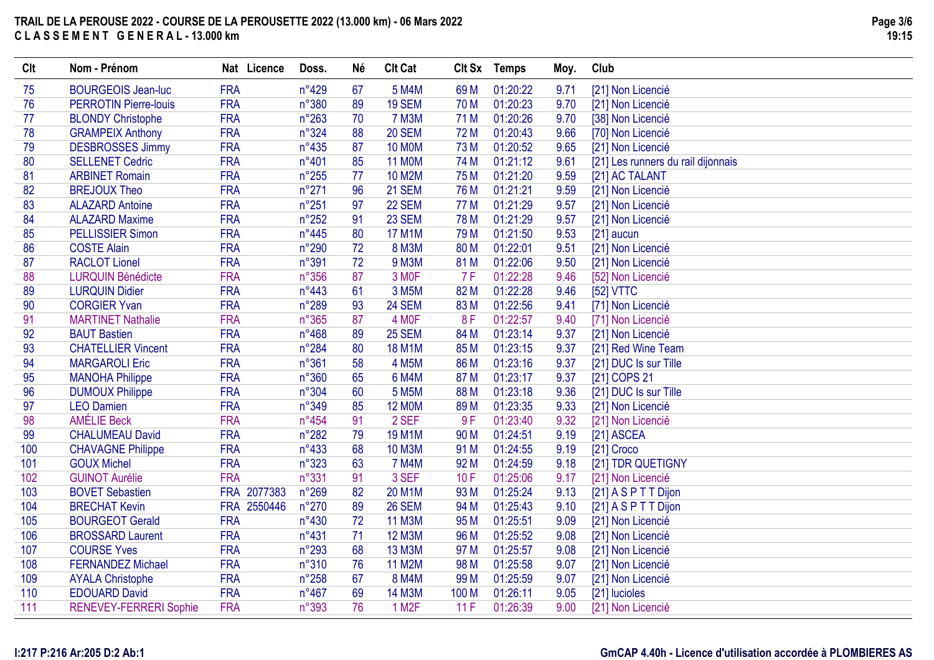| Clt | Nom - Prénom                 | Nat Licence | Doss.          | Né | <b>CIt Cat</b>     | Clt Sx          | Temps    | Moy. | Club                               |
|-----|------------------------------|-------------|----------------|----|--------------------|-----------------|----------|------|------------------------------------|
| 75  | <b>BOURGEOIS Jean-luc</b>    | <b>FRA</b>  | $n^{\circ}429$ | 67 | 5 M4M              | 69 <sub>M</sub> | 01:20:22 | 9.71 | [21] Non Licencié                  |
| 76  | <b>PERROTIN Pierre-louis</b> | <b>FRA</b>  | n°380          | 89 | 19 SEM             | 70 M            | 01:20:23 | 9.70 | [21] Non Licencié                  |
| 77  | <b>BLONDY Christophe</b>     | <b>FRA</b>  | $n^{\circ}263$ | 70 | <b>7 M3M</b>       | 71 M            | 01:20:26 | 9.70 | [38] Non Licencié                  |
| 78  | <b>GRAMPEIX Anthony</b>      | <b>FRA</b>  | n°324          | 88 | 20 SEM             | 72 M            | 01:20:43 | 9.66 | [70] Non Licencié                  |
| 79  | <b>DESBROSSES Jimmy</b>      | <b>FRA</b>  | $n^{\circ}435$ | 87 | <b>10 MOM</b>      | 73 M            | 01:20:52 | 9.65 | [21] Non Licencié                  |
| 80  | <b>SELLENET Cedric</b>       | <b>FRA</b>  | n°401          | 85 | <b>11 MOM</b>      | 74 M            | 01:21:12 | 9.61 | [21] Les runners du rail dijonnais |
| 81  | <b>ARBINET Romain</b>        | <b>FRA</b>  | $n^{\circ}255$ | 77 | <b>10 M2M</b>      | 75 M            | 01:21:20 | 9.59 | [21] AC TALANT                     |
| 82  | <b>BREJOUX Theo</b>          | <b>FRA</b>  | $n^{\circ}271$ | 96 | <b>21 SEM</b>      | 76 M            | 01:21:21 | 9.59 | [21] Non Licencié                  |
| 83  | <b>ALAZARD Antoine</b>       | <b>FRA</b>  | $n^{\circ}251$ | 97 | 22 SEM             | 77 M            | 01:21:29 | 9.57 | [21] Non Licencié                  |
| 84  | <b>ALAZARD Maxime</b>        | <b>FRA</b>  | $n^{\circ}252$ | 91 | 23 SEM             | 78 M            | 01:21:29 | 9.57 | [21] Non Licencié                  |
| 85  | <b>PELLISSIER Simon</b>      | <b>FRA</b>  | $n^{\circ}445$ | 80 | <b>17 M1M</b>      | 79 M            | 01:21:50 | 9.53 | $[21]$ aucun                       |
| 86  | <b>COSTE Alain</b>           | <b>FRA</b>  | n°290          | 72 | <b>8 M3M</b>       | 80 M            | 01:22:01 | 9.51 | [21] Non Licencié                  |
| 87  | <b>RACLOT Lionel</b>         | <b>FRA</b>  | n°391          | 72 | 9 M3M              | 81 M            | 01:22:06 | 9.50 | [21] Non Licencié                  |
| 88  | <b>LURQUIN Bénédicte</b>     | <b>FRA</b>  | $n^{\circ}356$ | 87 | 3 MOF              | <b>7F</b>       | 01:22:28 | 9.46 | [52] Non Licencié                  |
| 89  | <b>LURQUIN Didier</b>        | <b>FRA</b>  | $n^{\circ}443$ | 61 | 3 M <sub>5</sub> M | 82 M            | 01:22:28 | 9.46 | [52] VTTC                          |
| 90  | <b>CORGIER Yvan</b>          | <b>FRA</b>  | n°289          | 93 | 24 SEM             | 83 M            | 01:22:56 | 9.41 | [71] Non Licencié                  |
| 91  | <b>MARTINET Nathalie</b>     | <b>FRA</b>  | $n^{\circ}365$ | 87 | 4 MOF              | 8F              | 01:22:57 | 9.40 | [71] Non Licencié                  |
| 92  | <b>BAUT Bastien</b>          | <b>FRA</b>  | $n^{\circ}468$ | 89 | 25 SEM             | 84 M            | 01:23:14 | 9.37 | [21] Non Licencié                  |
| 93  | <b>CHATELLIER Vincent</b>    | <b>FRA</b>  | n°284          | 80 | <b>18 M1M</b>      | 85 M            | 01:23:15 | 9.37 | [21] Red Wine Team                 |
| 94  | <b>MARGAROLI Eric</b>        | <b>FRA</b>  | n°361          | 58 | <b>4 M5M</b>       | 86 M            | 01:23:16 | 9.37 | [21] DUC Is sur Tille              |
| 95  | <b>MANOHA Philippe</b>       | <b>FRA</b>  | n°360          | 65 | 6 M4M              | 87 M            | 01:23:17 | 9.37 | [21] COPS 21                       |
| 96  | <b>DUMOUX Philippe</b>       | <b>FRA</b>  | n°304          | 60 | 5 M <sub>5</sub> M | 88 M            | 01:23:18 | 9.36 | [21] DUC Is sur Tille              |
| 97  | <b>LEO Damien</b>            | <b>FRA</b>  | n°349          | 85 | <b>12 MOM</b>      | 89 M            | 01:23:35 | 9.33 | [21] Non Licencié                  |
| 98  | <b>AMÉLIE Beck</b>           | <b>FRA</b>  | $n^{\circ}454$ | 91 | 2 SEF              | 9F              | 01:23:40 | 9.32 | [21] Non Licencié                  |
| 99  | <b>CHALUMEAU David</b>       | <b>FRA</b>  | n°282          | 79 | <b>19 M1M</b>      | 90 M            | 01:24:51 | 9.19 | [21] ASCEA                         |
| 100 | <b>CHAVAGNE Philippe</b>     | <b>FRA</b>  | $n^{\circ}433$ | 68 | <b>10 M3M</b>      | 91 M            | 01:24:55 | 9.19 | [21] Croco                         |
| 101 | <b>GOUX Michel</b>           | <b>FRA</b>  | n°323          | 63 | <b>7 M4M</b>       | 92 M            | 01:24:59 | 9.18 | [21] TDR QUETIGNY                  |
| 102 | <b>GUINOT Aurélie</b>        | <b>FRA</b>  | n°331          | 91 | 3 SEF              | 10F             | 01:25:06 | 9.17 | [21] Non Licencié                  |
| 103 | <b>BOVET Sebastien</b>       | FRA 2077383 | $n^{\circ}269$ | 82 | 20 M1M             | 93 M            | 01:25:24 | 9.13 | [21] A S P T T Dijon               |
| 104 | <b>BRECHAT Kevin</b>         | FRA 2550446 | $n^{\circ}270$ | 89 | 26 SEM             | 94 M            | 01:25:43 | 9.10 | [21] A S P T T Dijon               |
| 105 | <b>BOURGEOT Gerald</b>       | <b>FRA</b>  | $n^{\circ}430$ | 72 | <b>11 M3M</b>      | 95 M            | 01:25:51 | 9.09 | [21] Non Licencié                  |
| 106 | <b>BROSSARD Laurent</b>      | <b>FRA</b>  | $n^{\circ}431$ | 71 | <b>12 M3M</b>      | 96 M            | 01:25:52 | 9.08 | [21] Non Licencié                  |
| 107 | <b>COURSE Yves</b>           | <b>FRA</b>  | n°293          | 68 | 13 M3M             | 97 M            | 01:25:57 | 9.08 | [21] Non Licencié                  |
| 108 | <b>FERNANDEZ Michael</b>     | <b>FRA</b>  | n°310          | 76 | 11 M2M             | 98 M            | 01:25:58 | 9.07 | [21] Non Licencié                  |
| 109 | <b>AYALA Christophe</b>      | <b>FRA</b>  | $n^{\circ}258$ | 67 | <b>8 M4M</b>       | 99 M            | 01:25:59 | 9.07 | [21] Non Licencié                  |
| 110 | <b>EDOUARD David</b>         | <b>FRA</b>  | $n^{\circ}467$ | 69 | <b>14 M3M</b>      | 100 M           | 01:26:11 | 9.05 | [21] lucioles                      |
| 111 | RENEVEY-FERRERI Sophie       | <b>FRA</b>  | n°393          | 76 | 1 M <sub>2</sub> F | 11F             | 01:26:39 | 9.00 | [21] Non Licencié                  |
|     |                              |             |                |    |                    |                 |          |      |                                    |

# **I:217 P:216 Ar:205 D:2 Ab:1**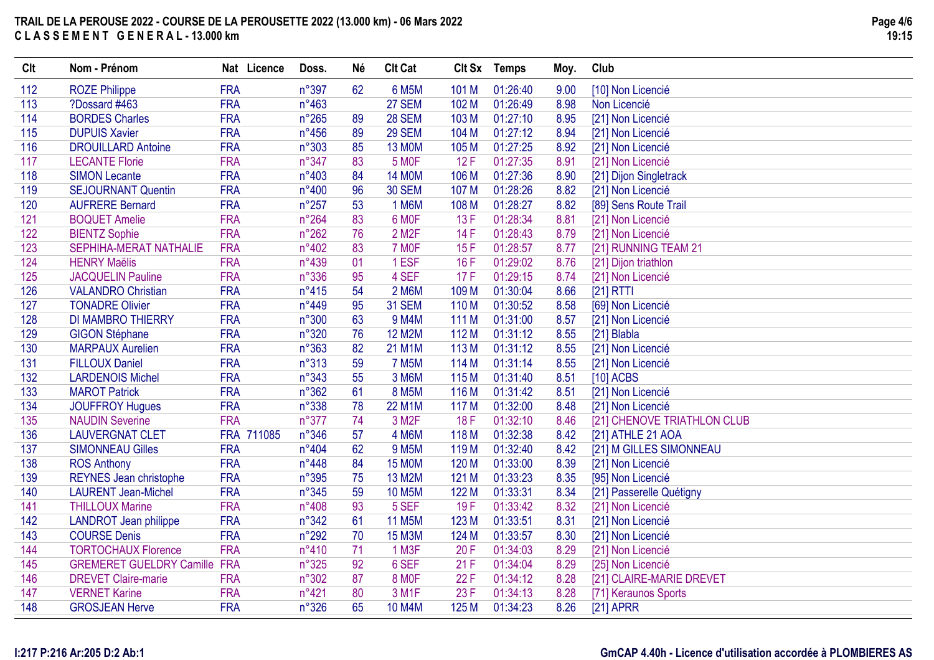| <b>Clt</b> | Nom - Prénom                        | Nat Licence | Doss.          | <b>Né</b> | <b>Clt Cat</b>     | Clt Sx           | <b>Temps</b> | Moy. | Club                        |
|------------|-------------------------------------|-------------|----------------|-----------|--------------------|------------------|--------------|------|-----------------------------|
| 112        | <b>ROZE Philippe</b>                | <b>FRA</b>  | n°397          | 62        | <b>6 M5M</b>       | 101 M            | 01:26:40     | 9.00 | [10] Non Licencié           |
| 113        | ?Dossard #463                       | <b>FRA</b>  | $n^{\circ}463$ |           | <b>27 SEM</b>      | 102 M            | 01:26:49     | 8.98 | Non Licencié                |
| 114        | <b>BORDES Charles</b>               | <b>FRA</b>  | $n^{\circ}265$ | 89        | <b>28 SEM</b>      | 103 M            | 01:27:10     | 8.95 | [21] Non Licencié           |
| 115        | <b>DUPUIS Xavier</b>                | <b>FRA</b>  | $n^{\circ}456$ | 89        | 29 SEM             | 104 M            | 01:27:12     | 8.94 | [21] Non Licencié           |
| 116        | <b>DROUILLARD Antoine</b>           | <b>FRA</b>  | n°303          | 85        | <b>13 MOM</b>      | 105 M            | 01:27:25     | 8.92 | [21] Non Licencié           |
| 117        | <b>LECANTE Florie</b>               | <b>FRA</b>  | n°347          | 83        | 5 MOF              | 12F              | 01:27:35     | 8.91 | [21] Non Licencié           |
| 118        | <b>SIMON Lecante</b>                | <b>FRA</b>  | n°403          | 84        | <b>14 MOM</b>      | 106 M            | 01:27:36     | 8.90 | [21] Dijon Singletrack      |
| 119        | <b>SEJOURNANT Quentin</b>           | <b>FRA</b>  | n°400          | 96        | <b>30 SEM</b>      | 107 M            | 01:28:26     | 8.82 | [21] Non Licencié           |
| 120        | <b>AUFRERE Bernard</b>              | <b>FRA</b>  | $n^{\circ}257$ | 53        | 1 M6M              | 108 M            | 01:28:27     | 8.82 | [89] Sens Route Trail       |
| 121        | <b>BOQUET Amelie</b>                | <b>FRA</b>  | $n^{\circ}264$ | 83        | 6 MOF              | 13F              | 01:28:34     | 8.81 | [21] Non Licencié           |
| 122        | <b>BIENTZ Sophie</b>                | <b>FRA</b>  | $n^{\circ}262$ | 76        | 2 M <sub>2</sub> F | 14 F             | 01:28:43     | 8.79 | [21] Non Licencié           |
| 123        | <b>SEPHIHA-MERAT NATHALIE</b>       | <b>FRA</b>  | n°402          | 83        | 7 MOF              | 15F              | 01:28:57     | 8.77 | [21] RUNNING TEAM 21        |
| 124        | <b>HENRY Maëlis</b>                 | <b>FRA</b>  | n°439          | 01        | 1 ESF              | 16F              | 01:29:02     | 8.76 | [21] Dijon triathlon        |
| 125        | <b>JACQUELIN Pauline</b>            | <b>FRA</b>  | n°336          | 95        | 4 SEF              | 17F              | 01:29:15     | 8.74 | [21] Non Licencié           |
| 126        | <b>VALANDRO Christian</b>           | <b>FRA</b>  | $n^{\circ}415$ | 54        | <b>2 M6M</b>       | 109 M            | 01:30:04     | 8.66 | $[21]$ RTTI                 |
| 127        | <b>TONADRE Olivier</b>              | <b>FRA</b>  | $n^{\circ}449$ | 95        | <b>31 SEM</b>      | 110 <sub>M</sub> | 01:30:52     | 8.58 | [69] Non Licencié           |
| 128        | <b>DI MAMBRO THIERRY</b>            | <b>FRA</b>  | n°300          | 63        | 9 M4M              | 111 M            | 01:31:00     | 8.57 | [21] Non Licencié           |
| 129        | <b>GIGON Stéphane</b>               | <b>FRA</b>  | n°320          | 76        | <b>12 M2M</b>      | 112 M            | 01:31:12     | 8.55 | [21] Blabla                 |
| 130        | <b>MARPAUX Aurelien</b>             | <b>FRA</b>  | n°363          | 82        | 21 M1M             | 113 M            | 01:31:12     | 8.55 | [21] Non Licencié           |
| 131        | <b>FILLOUX Daniel</b>               | <b>FRA</b>  | n°313          | 59        | <b>7 M5M</b>       | 114 M            | 01:31:14     | 8.55 | [21] Non Licencié           |
| 132        | <b>LARDENOIS Michel</b>             | <b>FRA</b>  | n°343          | 55        | 3 M6M              | 115 M            | 01:31:40     | 8.51 | $[10]$ ACBS                 |
| 133        | <b>MAROT Patrick</b>                | <b>FRA</b>  | n°362          | 61        | <b>8 M5M</b>       | 116 <sub>M</sub> | 01:31:42     | 8.51 | [21] Non Licencié           |
| 134        | <b>JOUFFROY Hugues</b>              | <b>FRA</b>  | n°338          | 78        | <b>22 M1M</b>      | 117 M            | 01:32:00     | 8.48 | [21] Non Licencié           |
| 135        | <b>NAUDIN Severine</b>              | <b>FRA</b>  | n°377          | 74        | 3 M <sub>2</sub> F | 18F              | 01:32:10     | 8.46 | [21] CHENOVE TRIATHLON CLUB |
| 136        | <b>LAUVERGNAT CLET</b>              | FRA 711085  | $n^{\circ}346$ | 57        | <b>4 M6M</b>       | 118 M            | 01:32:38     | 8.42 | [21] ATHLE 21 AOA           |
| 137        | <b>SIMONNEAU Gilles</b>             | <b>FRA</b>  | n°404          | 62        | <b>9 M5M</b>       | 119 <sub>M</sub> | 01:32:40     | 8.42 | [21] M GILLES SIMONNEAU     |
| 138        | <b>ROS Anthony</b>                  | <b>FRA</b>  | n°448          | 84        | <b>15 MOM</b>      | 120 M            | 01:33:00     | 8.39 | [21] Non Licencié           |
| 139        | <b>REYNES Jean christophe</b>       | <b>FRA</b>  | $n^{\circ}395$ | 75        | 13 M2M             | 121 M            | 01:33:23     | 8.35 | [95] Non Licencié           |
| 140        | <b>LAURENT Jean-Michel</b>          | <b>FRA</b>  | $n^{\circ}345$ | 59        | <b>10 M5M</b>      | 122 M            | 01:33:31     | 8.34 | [21] Passerelle Quétigny    |
| 141        | <b>THILLOUX Marine</b>              | <b>FRA</b>  | n°408          | 93        | 5 SEF              | 19F              | 01:33:42     | 8.32 | [21] Non Licencié           |
| 142        | <b>LANDROT</b> Jean philippe        | <b>FRA</b>  | n°342          | 61        | <b>11 M5M</b>      | 123 M            | 01:33:51     | 8.31 | [21] Non Licencié           |
| 143        | <b>COURSE Denis</b>                 | <b>FRA</b>  | $n^{\circ}292$ | 70        | <b>15 M3M</b>      | 124 M            | 01:33:57     | 8.30 | [21] Non Licencié           |
| 144        | <b>TORTOCHAUX Florence</b>          | <b>FRA</b>  | n°410          | 71        | 1 M3F              | 20F              | 01:34:03     | 8.29 | [21] Non Licencié           |
| 145        | <b>GREMERET GUELDRY Camille FRA</b> |             | n°325          | 92        | 6 SEF              | 21F              | 01:34:04     | 8.29 | [25] Non Licencié           |
| 146        | <b>DREVET Claire-marie</b>          | <b>FRA</b>  | n°302          | 87        | <b>8 MOF</b>       | 22F              | 01:34:12     | 8.28 | [21] CLAIRE-MARIE DREVET    |
| 147        | <b>VERNET Karine</b>                | <b>FRA</b>  | n°421          | 80        | 3 M <sub>1</sub> F | 23F              | 01:34:13     | 8.28 | [71] Keraunos Sports        |
| 148        | <b>GROSJEAN Herve</b>               | <b>FRA</b>  | n°326          | 65        | 10 M4M             | 125 M            | 01:34:23     | 8.26 | $[21]$ APRR                 |

### **I:217 P:216 Ar:205 D:2 Ab:1**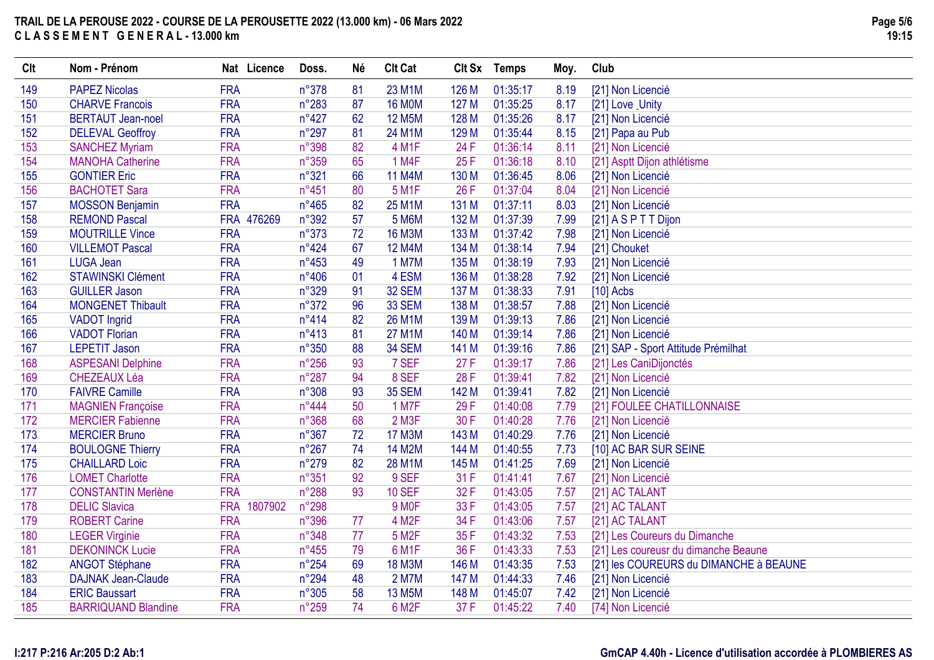| Clt | Nom - Prénom               | Nat Licence           | Doss.          | <b>Né</b> | <b>Clt Cat</b>     |       | Clt Sx Temps | Moy. | Club                                   |
|-----|----------------------------|-----------------------|----------------|-----------|--------------------|-------|--------------|------|----------------------------------------|
| 149 | <b>PAPEZ Nicolas</b>       | <b>FRA</b>            | n°378          | 81        | 23 M1M             | 126 M | 01:35:17     | 8.19 | [21] Non Licencié                      |
| 150 | <b>CHARVE Francois</b>     | <b>FRA</b>            | $n^{\circ}283$ | 87        | <b>16 MOM</b>      | 127 M | 01:35:25     | 8.17 | [21] Love _Unity                       |
| 151 | <b>BERTAUT Jean-noel</b>   | <b>FRA</b>            | $n^{\circ}427$ | 62        | <b>12 M5M</b>      | 128 M | 01:35:26     | 8.17 | [21] Non Licencié                      |
| 152 | <b>DELEVAL Geoffroy</b>    | <b>FRA</b>            | $n^{\circ}297$ | 81        | 24 M1M             | 129 M | 01:35:44     | 8.15 | [21] Papa au Pub                       |
| 153 | <b>SANCHEZ Myriam</b>      | <b>FRA</b>            | n°398          | 82        | 4 M1F              | 24 F  | 01:36:14     | 8.11 | [21] Non Licencié                      |
| 154 | <b>MANOHA Catherine</b>    | <b>FRA</b>            | n°359          | 65        | 1 M4F              | 25F   | 01:36:18     | 8.10 | [21] Asptt Dijon athlétisme            |
| 155 | <b>GONTIER Eric</b>        | <b>FRA</b>            | n°321          | 66        | <b>11 M4M</b>      | 130 M | 01:36:45     | 8.06 | [21] Non Licencié                      |
| 156 | <b>BACHOTET Sara</b>       | <b>FRA</b>            | $n^{\circ}451$ | 80        | <b>5 M1F</b>       | 26 F  | 01:37:04     | 8.04 | [21] Non Licencié                      |
| 157 | <b>MOSSON Benjamin</b>     | <b>FRA</b>            | $n^{\circ}465$ | 82        | 25 M1M             | 131 M | 01:37:11     | 8.03 | [21] Non Licencié                      |
| 158 | <b>REMOND Pascal</b>       | FRA 476269            | n°392          | 57        | <b>5 M6M</b>       | 132 M | 01:37:39     | 7.99 | $[21]$ A S P T T Dijon                 |
| 159 | <b>MOUTRILLE Vince</b>     | <b>FRA</b>            | n°373          | 72        | <b>16 M3M</b>      | 133 M | 01:37:42     | 7.98 | [21] Non Licencié                      |
| 160 | <b>VILLEMOT Pascal</b>     | <b>FRA</b>            | $n^{\circ}424$ | 67        | <b>12 M4M</b>      | 134 M | 01:38:14     | 7.94 | [21] Chouket                           |
| 161 | LUGA Jean                  | <b>FRA</b>            | $n^{\circ}453$ | 49        | <b>1 M7M</b>       | 135 M | 01:38:19     | 7.93 | [21] Non Licencié                      |
| 162 | <b>STAWINSKI Clément</b>   | <b>FRA</b>            | $n^{\circ}406$ | 01        | 4 ESM              | 136 M | 01:38:28     | 7.92 | [21] Non Licencié                      |
| 163 | <b>GUILLER Jason</b>       | <b>FRA</b>            | n°329          | 91        | 32 SEM             | 137 M | 01:38:33     | 7.91 | $[10]$ Acbs                            |
| 164 | <b>MONGENET Thibault</b>   | <b>FRA</b>            | n°372          | 96        | 33 SEM             | 138 M | 01:38:57     | 7.88 | [21] Non Licencié                      |
| 165 | <b>VADOT Ingrid</b>        | <b>FRA</b>            | $n^{\circ}414$ | 82        | 26 M1M             | 139 M | 01:39:13     | 7.86 | [21] Non Licencié                      |
| 166 | <b>VADOT Florian</b>       | <b>FRA</b>            | $n^{\circ}413$ | 81        | <b>27 M1M</b>      | 140 M | 01:39:14     | 7.86 | [21] Non Licencié                      |
| 167 | <b>LEPETIT Jason</b>       | <b>FRA</b>            | n°350          | 88        | 34 SEM             | 141 M | 01:39:16     | 7.86 | [21] SAP - Sport Attitude Prémilhat    |
| 168 | <b>ASPESANI Delphine</b>   | <b>FRA</b>            | $n^{\circ}256$ | 93        | 7 SEF              | 27F   | 01:39:17     | 7.86 | [21] Les CaniDijonctés                 |
| 169 | <b>CHEZEAUX Léa</b>        | <b>FRA</b>            | $n^{\circ}287$ | 94        | 8 SEF              | 28 F  | 01:39:41     | 7.82 | [21] Non Licencié                      |
| 170 | <b>FAIVRE Camille</b>      | <b>FRA</b>            | n°308          | 93        | <b>35 SEM</b>      | 142 M | 01:39:41     | 7.82 | [21] Non Licencié                      |
| 171 | <b>MAGNIEN Françoise</b>   | <b>FRA</b>            | $n^{\circ}444$ | 50        | 1 M7F              | 29F   | 01:40:08     | 7.79 | [21] FOULEE CHATILLONNAISE             |
| 172 | <b>MERCIER Fabienne</b>    | <b>FRA</b>            | n°368          | 68        | 2 M3F              | 30 F  | 01:40:28     | 7.76 | [21] Non Licencié                      |
| 173 | <b>MERCIER Bruno</b>       | <b>FRA</b>            | $n^{\circ}367$ | 72        | <b>17 M3M</b>      | 143 M | 01:40:29     | 7.76 | [21] Non Licencié                      |
| 174 | <b>BOULOGNE Thierry</b>    | <b>FRA</b>            | $n^{\circ}267$ | 74        | <b>14 M2M</b>      | 144 M | 01:40:55     | 7.73 | [10] AC BAR SUR SEINE                  |
| 175 | <b>CHAILLARD Loic</b>      | <b>FRA</b>            | $n^{\circ}279$ | 82        | 28 M1M             | 145 M | 01:41:25     | 7.69 | [21] Non Licencié                      |
| 176 | <b>LOMET Charlotte</b>     | <b>FRA</b>            | n°351          | 92        | 9 SEF              | 31 F  | 01:41:41     | 7.67 | [21] Non Licencié                      |
| 177 | <b>CONSTANTIN Merlène</b>  | <b>FRA</b>            | n°288          | 93        | <b>10 SEF</b>      | 32F   | 01:43:05     | 7.57 | [21] AC TALANT                         |
| 178 | <b>DELIC Slavica</b>       | <b>FRA</b><br>1807902 | n°298          |           | 9 MOF              | 33 F  | 01:43:05     | 7.57 | [21] AC TALANT                         |
| 179 | <b>ROBERT Carine</b>       | <b>FRA</b>            | n°396          | 77        | 4 M <sub>2</sub> F | 34 F  | 01:43:06     | 7.57 | [21] AC TALANT                         |
| 180 | <b>LEGER Virginie</b>      | <b>FRA</b>            | n°348          | 77        | 5 M <sub>2</sub> F | 35F   | 01:43:32     | 7.53 | [21] Les Coureurs du Dimanche          |
| 181 | <b>DEKONINCK Lucie</b>     | <b>FRA</b>            | $n^{\circ}455$ | 79        | 6 M1F              | 36 F  | 01:43:33     | 7.53 | [21] Les coureusr du dimanche Beaune   |
| 182 | <b>ANGOT Stéphane</b>      | <b>FRA</b>            | $n^{\circ}254$ | 69        | <b>18 M3M</b>      | 146 M | 01:43:35     | 7.53 | [21] les COUREURS du DIMANCHE à BEAUNE |
| 183 | <b>DAJNAK Jean-Claude</b>  | <b>FRA</b>            | $n^{\circ}294$ | 48        | <b>2 M7M</b>       | 147 M | 01:44:33     | 7.46 | [21] Non Licencié                      |
| 184 | <b>ERIC Baussart</b>       | <b>FRA</b>            | n°305          | 58        | <b>13 M5M</b>      | 148 M | 01:45:07     | 7.42 | [21] Non Licencié                      |
| 185 | <b>BARRIQUAND Blandine</b> | <b>FRA</b>            | $n^{\circ}259$ | 74        | 6 M <sub>2</sub> F | 37 F  | 01:45:22     | 7.40 | [74] Non Licencié                      |

## **I:217 P:216 Ar:205 D:2 Ab:1**